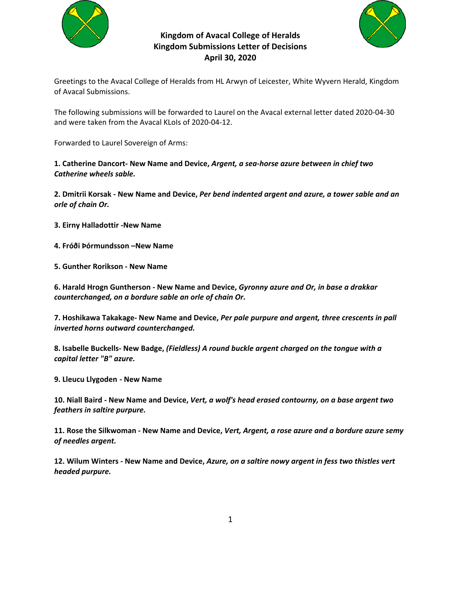

# **Kingdom of Avacal College of Heralds Kingdom Submissions Letter of Decisions April 30, 2020**



Greetings to the Avacal College of Heralds from HL Arwyn of Leicester, White Wyvern Herald, Kingdom of Avacal Submissions.

The following submissions will be forwarded to Laurel on the Avacal external letter dated 2020‐04‐30 and were taken from the Avacal KLoIs of 2020‐04‐12.

Forwarded to Laurel Sovereign of Arms:

**1. Catherine Dancort‐ New Name and Device,** *Argent, a sea‐horse azure between in chief two Catherine wheels sable.* 

**2. Dmitrii Korsak ‐ New Name and Device,** *Per bend indented argent and azure, a tower sable and an orle of chain Or.* 

- **3. Eirny Halladottir ‐New Name**
- **4. Fróði Þórmundsson –New Name**
- **5. Gunther Rorikson ‐ New Name**

**6. Harald Hrogn Guntherson ‐ New Name and Device,** *Gyronny azure and Or, in base a drakkar counterchanged, on a bordure sable an orle of chain Or.* 

**7. Hoshikawa Takakage‐ New Name and Device,** *Per pale purpure and argent, three crescents in pall inverted horns outward counterchanged.* 

**8. Isabelle Buckells‐ New Badge,** *(Fieldless) A round buckle argent charged on the tongue with a capital letter "B" azure.* 

**9. Lleucu Llygoden ‐ New Name** 

**10. Niall Baird ‐ New Name and Device,** *Vert, a wolf's head erased contourny, on a base argent two feathers in saltire purpure.*

**11. Rose the Silkwoman ‐ New Name and Device,** *Vert, Argent, a rose azure and a bordure azure semy of needles argent.* 

**12. Wilum Winters ‐ New Name and Device,** *Azure, on a saltire nowy argent in fess two thistles vert headed purpure.*